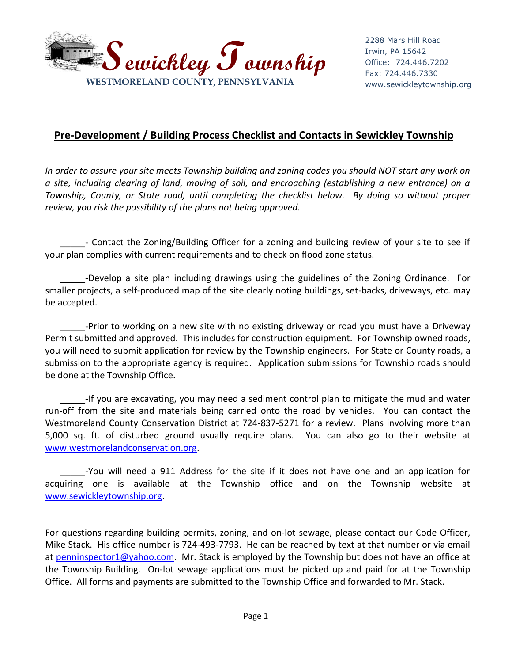

## **Pre-Development / Building Process Checklist and Contacts in Sewickley Township**

*In order to assure your site meets Township building and zoning codes you should NOT start any work on a site, including clearing of land, moving of soil, and encroaching (establishing a new entrance) on a Township, County, or State road, until completing the checklist below. By doing so without proper review, you risk the possibility of the plans not being approved.* 

\_\_\_\_\_- Contact the Zoning/Building Officer for a zoning and building review of your site to see if your plan complies with current requirements and to check on flood zone status.

\_\_\_\_\_-Develop a site plan including drawings using the guidelines of the Zoning Ordinance. For smaller projects, a self-produced map of the site clearly noting buildings, set-backs, driveways, etc. may be accepted.

\_\_\_\_\_-Prior to working on a new site with no existing driveway or road you must have a Driveway Permit submitted and approved. This includes for construction equipment. For Township owned roads, you will need to submit application for review by the Township engineers. For State or County roads, a submission to the appropriate agency is required. Application submissions for Township roads should be done at the Township Office.

\_\_\_\_\_-If you are excavating, you may need a sediment control plan to mitigate the mud and water run-off from the site and materials being carried onto the road by vehicles. You can contact the Westmoreland County Conservation District at 724-837-5271 for a review. Plans involving more than 5,000 sq. ft. of disturbed ground usually require plans. You can also go to their website at [www.westmorelandconservation.org.](http://www.westmorelandconservation.org/)

\_\_\_\_\_-You will need a 911 Address for the site if it does not have one and an application for acquiring one is available at the Township office and on the Township website at [www.sewickleytownship.org.](http://www.sewickleytownship.org/)

For questions regarding building permits, zoning, and on-lot sewage, please contact our Code Officer, Mike Stack. His office number is 724-493-7793. He can be reached by text at that number or via email at [penninspector1@yahoo.com.](mailto:penninspector1@yahoo.com) Mr. Stack is employed by the Township but does not have an office at the Township Building. On-lot sewage applications must be picked up and paid for at the Township Office. All forms and payments are submitted to the Township Office and forwarded to Mr. Stack.